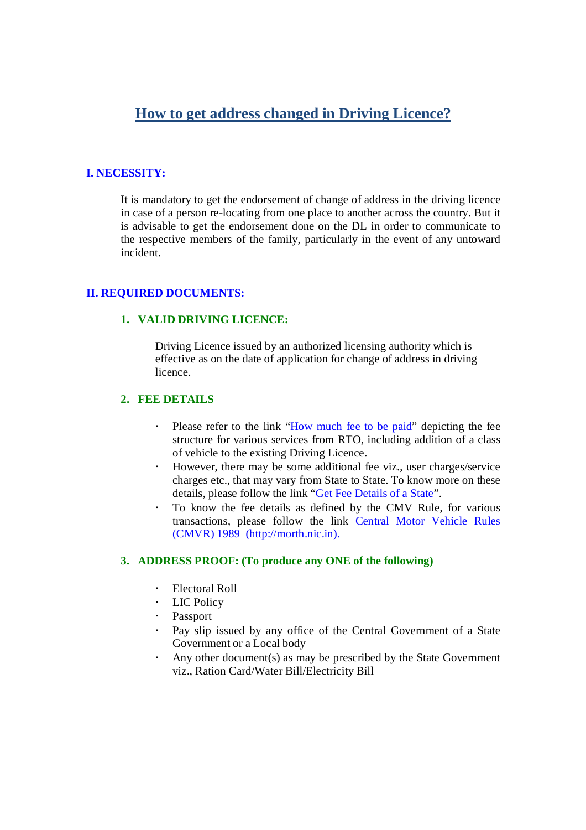# **How to get address changed in Driving Licence?**

## **I. NECESSITY:**

It is mandatory to get the endorsement of change of address in the driving licence in case of a person re-locating from one place to another across the country. But it is advisable to get the endorsement done on the DL in order to communicate to the respective members of the family, particularly in the event of any untoward incident.

#### **II. REQUIRED DOCUMENTS:**

### **1. VALID DRIVING LICENCE:**

Driving Licence issued by an authorized licensing authority which is effective as on the date of application for change of address in driving licence.

### **2. FEE DETAILS**

- Please refer to the link "How much fee to be paid" depicting the fee structure for various services from RTO, including addition of a class of vehicle to the existing Driving Licence.
- · However, there may be some additional fee viz., user charges/service charges etc., that may vary from State to State. To know more on these details, please follow the link "Get Fee Details of a State".
- · To know the fee details as defined by the CMV Rule, for various transactions, please follow the link Central Motor Vehicle Rules (CMVR) 1989 (http://morth.nic.in).

#### **3. ADDRESS PROOF: (To produce any ONE of the following)**

- · Electoral Roll
- · LIC Policy
- · Passport
- Pay slip issued by any office of the Central Government of a State Government or a Local body
- · Any other document(s) as may be prescribed by the State Government viz., Ration Card/Water Bill/Electricity Bill